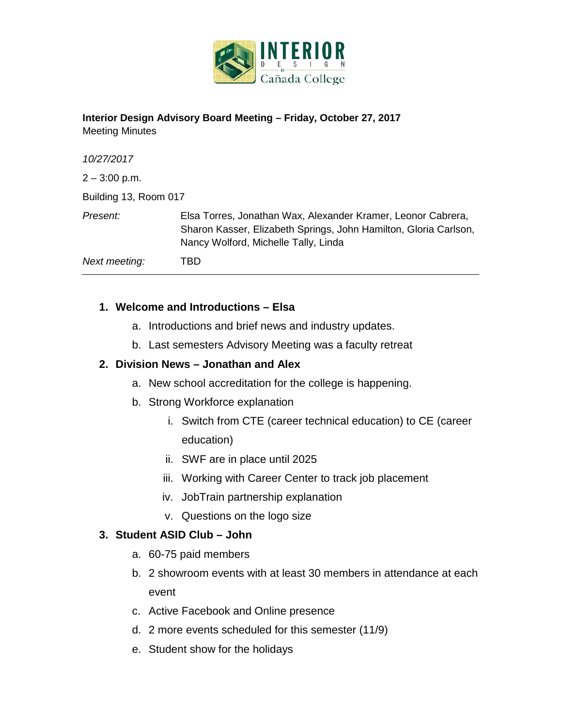

### **Interior Design Advisory Board Meeting – Friday, October 27, 2017** Meeting Minutes

| 10/27/2017            |                                                                                                                                                                          |
|-----------------------|--------------------------------------------------------------------------------------------------------------------------------------------------------------------------|
| $2 - 3:00$ p.m.       |                                                                                                                                                                          |
| Building 13, Room 017 |                                                                                                                                                                          |
| Present:              | Elsa Torres, Jonathan Wax, Alexander Kramer, Leonor Cabrera,<br>Sharon Kasser, Elizabeth Springs, John Hamilton, Gloria Carlson,<br>Nancy Wolford, Michelle Tally, Linda |
| Next meeting:         | TBD                                                                                                                                                                      |

# **1. Welcome and Introductions – Elsa**

- a. Introductions and brief news and industry updates.
- b. Last semesters Advisory Meeting was a faculty retreat

# **2. Division News – Jonathan and Alex**

- a. New school accreditation for the college is happening.
- b. Strong Workforce explanation
	- i. Switch from CTE (career technical education) to CE (career education)
	- ii. SWF are in place until 2025
	- iii. Working with Career Center to track job placement
	- iv. JobTrain partnership explanation
	- v. Questions on the logo size

### **3. Student ASID Club – John**

- a. 60-75 paid members
- b. 2 showroom events with at least 30 members in attendance at each event
- c. Active Facebook and Online presence
- d. 2 more events scheduled for this semester (11/9)
- e. Student show for the holidays